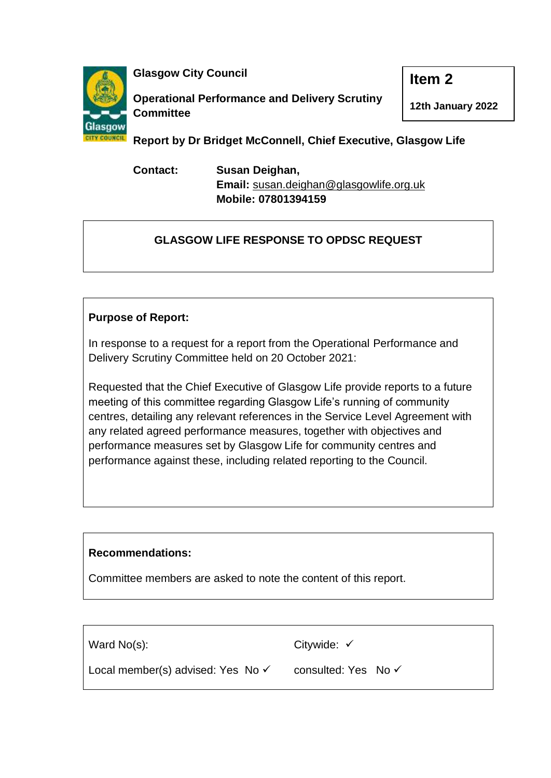

**Glasgow City Council**

**Operational Performance and Delivery Scrutiny Committee**

**12th January 2022**

**Item 2**

**Report by Dr Bridget McConnell, Chief Executive, Glasgow Life**

**Contact: Susan Deighan, Email:** [susan.deighan@glasgowlife.org.uk](mailto:susan.deighan@glasgowlife.org.uk) **Mobile: 07801394159**

# **GLASGOW LIFE RESPONSE TO OPDSC REQUEST**

## **Purpose of Report:**

In response to a request for a report from the Operational Performance and Delivery Scrutiny Committee held on 20 October 2021:

Requested that the Chief Executive of Glasgow Life provide reports to a future meeting of this committee regarding Glasgow Life's running of community centres, detailing any relevant references in the Service Level Agreement with any related agreed performance measures, together with objectives and performance measures set by Glasgow Life for community centres and performance against these, including related reporting to the Council.

## **Recommendations:**

Committee members are asked to note the content of this report.

| Ward $No(s)$ :                               | Citywide: $\checkmark$         |
|----------------------------------------------|--------------------------------|
| Local member(s) advised: Yes No $\checkmark$ | consulted: Yes No $\checkmark$ |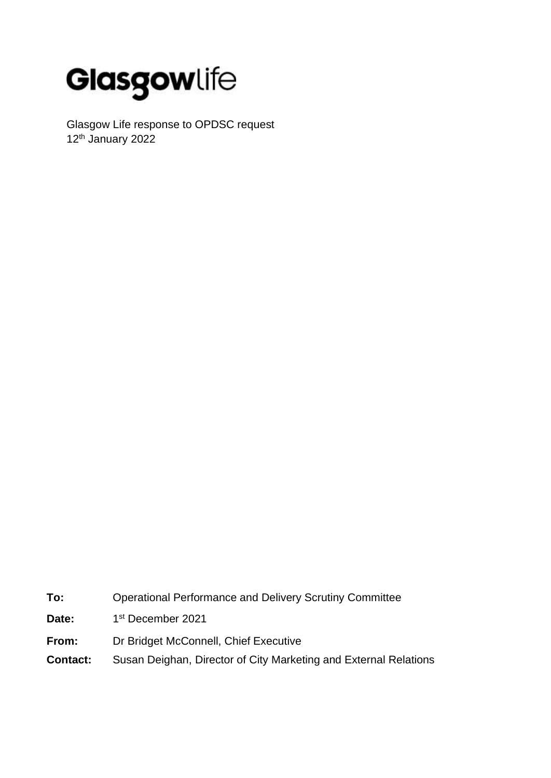

Glasgow Life response to OPDSC request 12th January 2022

**To:** Operational Performance and Delivery Scrutiny Committee

- Date: 1st December 2021
- **From:** Dr Bridget McConnell, Chief Executive
- **Contact:** Susan Deighan, Director of City Marketing and External Relations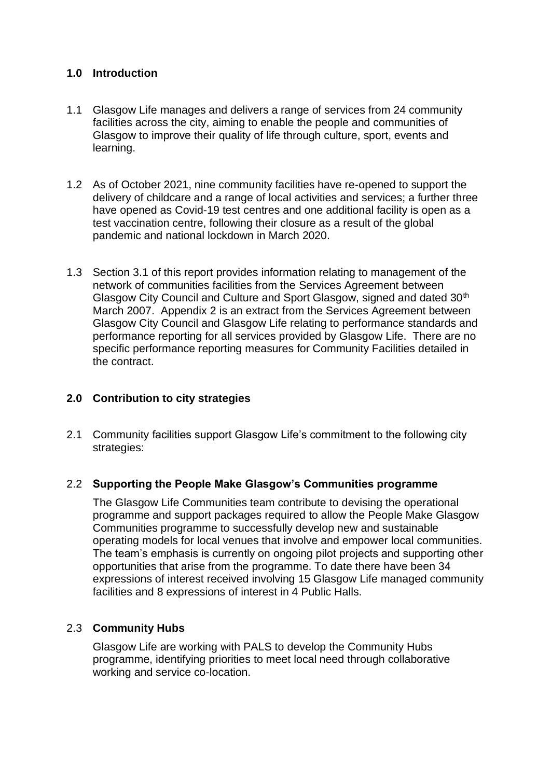## **1.0 Introduction**

- 1.1 Glasgow Life manages and delivers a range of services from 24 community facilities across the city, aiming to enable the people and communities of Glasgow to improve their quality of life through culture, sport, events and learning.
- 1.2 As of October 2021, nine community facilities have re-opened to support the delivery of childcare and a range of local activities and services; a further three have opened as Covid-19 test centres and one additional facility is open as a test vaccination centre, following their closure as a result of the global pandemic and national lockdown in March 2020.
- 1.3 Section 3.1 of this report provides information relating to management of the network of communities facilities from the Services Agreement between Glasgow City Council and Culture and Sport Glasgow, signed and dated 30<sup>th</sup> March 2007. Appendix 2 is an extract from the Services Agreement between Glasgow City Council and Glasgow Life relating to performance standards and performance reporting for all services provided by Glasgow Life. There are no specific performance reporting measures for Community Facilities detailed in the contract.

## **2.0 Contribution to city strategies**

2.1 Community facilities support Glasgow Life's commitment to the following city strategies:

#### 2.2 **Supporting the People Make Glasgow's Communities programme**

The Glasgow Life Communities team contribute to devising the operational programme and support packages required to allow the People Make Glasgow Communities programme to successfully develop new and sustainable operating models for local venues that involve and empower local communities. The team's emphasis is currently on ongoing pilot projects and supporting other opportunities that arise from the programme. To date there have been 34 expressions of interest received involving 15 Glasgow Life managed community facilities and 8 expressions of interest in 4 Public Halls.

#### 2.3 **Community Hubs**

Glasgow Life are working with PALS to develop the Community Hubs programme, identifying priorities to meet local need through collaborative working and service co-location.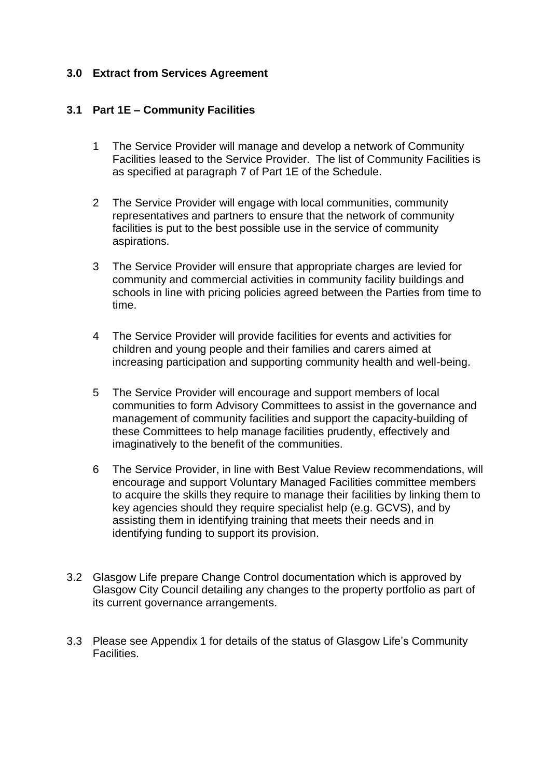#### **3.0 Extract from Services Agreement**

#### **3.1 Part 1E – Community Facilities**

- 1 The Service Provider will manage and develop a network of Community Facilities leased to the Service Provider. The list of Community Facilities is as specified at paragraph 7 of Part 1E of the Schedule.
- 2 The Service Provider will engage with local communities, community representatives and partners to ensure that the network of community facilities is put to the best possible use in the service of community aspirations.
- 3 The Service Provider will ensure that appropriate charges are levied for community and commercial activities in community facility buildings and schools in line with pricing policies agreed between the Parties from time to time.
- 4 The Service Provider will provide facilities for events and activities for children and young people and their families and carers aimed at increasing participation and supporting community health and well-being.
- 5 The Service Provider will encourage and support members of local communities to form Advisory Committees to assist in the governance and management of community facilities and support the capacity-building of these Committees to help manage facilities prudently, effectively and imaginatively to the benefit of the communities.
- 6 The Service Provider, in line with Best Value Review recommendations, will encourage and support Voluntary Managed Facilities committee members to acquire the skills they require to manage their facilities by linking them to key agencies should they require specialist help (e.g. GCVS), and by assisting them in identifying training that meets their needs and in identifying funding to support its provision.
- 3.2 Glasgow Life prepare Change Control documentation which is approved by Glasgow City Council detailing any changes to the property portfolio as part of its current governance arrangements.
- 3.3 Please see Appendix 1 for details of the status of Glasgow Life's Community Facilities.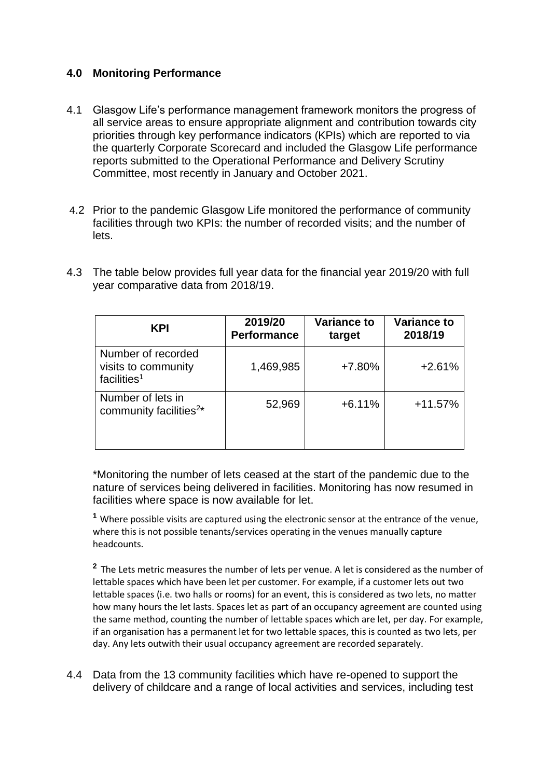## **4.0 Monitoring Performance**

- 4.1 Glasgow Life's performance management framework monitors the progress of all service areas to ensure appropriate alignment and contribution towards city priorities through key performance indicators (KPIs) which are reported to via the quarterly Corporate Scorecard and included the Glasgow Life performance reports submitted to the Operational Performance and Delivery Scrutiny Committee, most recently in January and October 2021.
- 4.2 Prior to the pandemic Glasgow Life monitored the performance of community facilities through two KPIs: the number of recorded visits; and the number of lets.
- 4.3 The table below provides full year data for the financial year 2019/20 with full year comparative data from 2018/19.

| <b>KPI</b>                                                           | 2019/20<br><b>Performance</b> | <b>Variance to</b><br>target | <b>Variance to</b><br>2018/19 |
|----------------------------------------------------------------------|-------------------------------|------------------------------|-------------------------------|
| Number of recorded<br>visits to community<br>facilities <sup>1</sup> | 1,469,985                     | $+7.80%$                     | $+2.61%$                      |
| Number of lets in<br>community facilities <sup>2*</sup>              | 52,969                        | $+6.11%$                     | $+11.57%$                     |

\*Monitoring the number of lets ceased at the start of the pandemic due to the nature of services being delivered in facilities. Monitoring has now resumed in facilities where space is now available for let.

**<sup>1</sup>** Where possible visits are captured using the electronic sensor at the entrance of the venue, where this is not possible tenants/services operating in the venues manually capture headcounts.

<sup>2</sup> The Lets metric measures the number of lets per venue. A let is considered as the number of lettable spaces which have been let per customer. For example, if a customer lets out two lettable spaces (i.e. two halls or rooms) for an event, this is considered as two lets, no matter how many hours the let lasts. Spaces let as part of an occupancy agreement are counted using the same method, counting the number of lettable spaces which are let, per day. For example, if an organisation has a permanent let for two lettable spaces, this is counted as two lets, per day. Any lets outwith their usual occupancy agreement are recorded separately.

4.4 Data from the 13 community facilities which have re-opened to support the delivery of childcare and a range of local activities and services, including test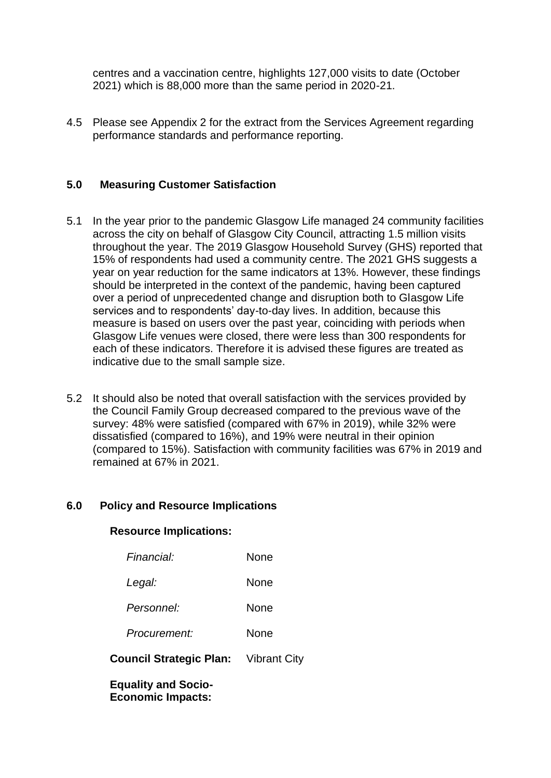centres and a vaccination centre, highlights 127,000 visits to date (October 2021) which is 88,000 more than the same period in 2020-21.

4.5 Please see Appendix 2 for the extract from the Services Agreement regarding performance standards and performance reporting.

## **5.0 Measuring Customer Satisfaction**

- 5.1 In the year prior to the pandemic Glasgow Life managed 24 community facilities across the city on behalf of Glasgow City Council, attracting 1.5 million visits throughout the year. The 2019 Glasgow Household Survey (GHS) reported that 15% of respondents had used a community centre. The 2021 GHS suggests a year on year reduction for the same indicators at 13%. However, these findings should be interpreted in the context of the pandemic, having been captured over a period of unprecedented change and disruption both to Glasgow Life services and to respondents' day-to-day lives. In addition, because this measure is based on users over the past year, coinciding with periods when Glasgow Life venues were closed, there were less than 300 respondents for each of these indicators. Therefore it is advised these figures are treated as indicative due to the small sample size.
- 5.2 It should also be noted that overall satisfaction with the services provided by the Council Family Group decreased compared to the previous wave of the survey: 48% were satisfied (compared with 67% in 2019), while 32% were dissatisfied (compared to 16%), and 19% were neutral in their opinion (compared to 15%). Satisfaction with community facilities was 67% in 2019 and remained at 67% in 2021.

#### **6.0 Policy and Resource Implications**

#### **Resource Implications:**

| <b>Equality and Socio-</b>                  |      |
|---------------------------------------------|------|
| <b>Council Strategic Plan:</b> Vibrant City |      |
| Procurement:                                | None |
| Personnel:                                  | None |
| Legal:                                      | None |
| Financial:                                  | None |

**Economic Impacts:**